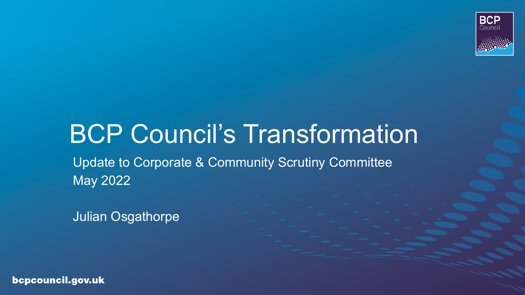

# BCP Council's Transformation Update to Corporate & Community Scrutiny Committee May 2022

Julian Osgathorpe

bcpcouncil.gov.uk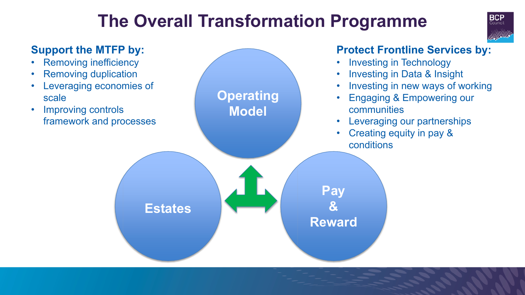### **The Overall Transformation Programme**



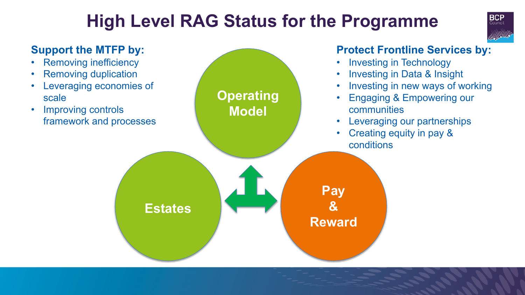### **High Level RAG Status for the Programme**



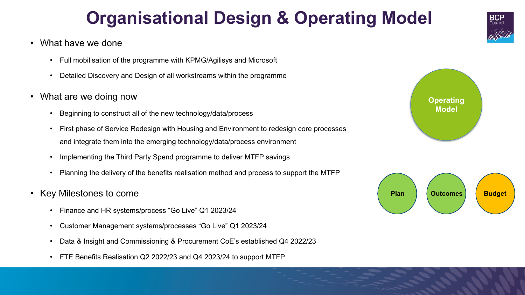## **Organisational Design & Operating Model**

- What have we done
	- Full mobilisation of the programme with KPMG/Agilisys and Microsoft
	- Detailed Discovery and Design of all workstreams within the programme
- What are we doing now
	- Beginning to construct all of the new technology/data/process
	- First phase of Service Redesign with Housing and Environment to redesign core processes and integrate them into the emerging technology/data/process environment
	- Implementing the Third Party Spend programme to deliver MTFP savings
	- Planning the delivery of the benefits realisation method and process to support the MTFP
- Key Milestones to come
	- Finance and HR systems/process "Go Live" Q1 2023/24
	- Customer Management systems/processes "Go Live" Q1 2023/24
	- Data & Insight and Commissioning & Procurement CoE's established Q4 2022/23
	- FTE Benefits Realisation Q2 2022/23 and Q4 2023/24 to support MTFP





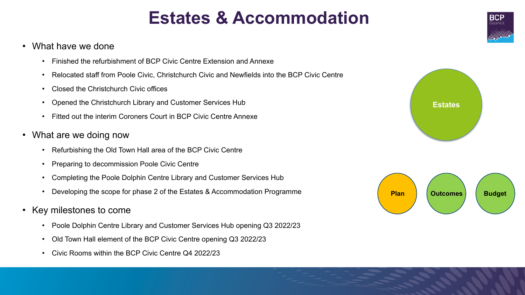### **Estates & Accommodation**

- What have we done
	- Finished the refurbishment of BCP Civic Centre Extension and Annexe
	- Relocated staff from Poole Civic, Christchurch Civic and Newfields into the BCP Civic Centre
	- Closed the Christchurch Civic offices
	- Opened the Christchurch Library and Customer Services Hub
	- Fitted out the interim Coroners Court in BCP Civic Centre Annexe
- What are we doing now
	- Refurbishing the Old Town Hall area of the BCP Civic Centre
	- Preparing to decommission Poole Civic Centre
	- Completing the Poole Dolphin Centre Library and Customer Services Hub
	- Developing the scope for phase 2 of the Estates & Accommodation Programme
- Key milestones to come
	- Poole Dolphin Centre Library and Customer Services Hub opening Q3 2022/23
	- Old Town Hall element of the BCP Civic Centre opening Q3 2022/23
	- Civic Rooms within the BCP Civic Centre Q4 2022/23





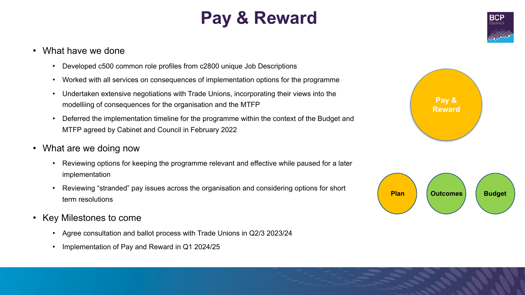## **Pay & Reward**

### • What have we done

- Developed c500 common role profiles from c2800 unique Job Descriptions
- Worked with all services on consequences of implementation options for the programme
- Undertaken extensive negotiations with Trade Unions, incorporating their views into the modelliing of consequences for the organisation and the MTFP
- Deferred the implementation timeline for the programme within the context of the Budget and MTFP agreed by Cabinet and Council in February 2022
- What are we doing now
	- Reviewing options for keeping the programme relevant and effective while paused for a later implementation
	- Reviewing "stranded" pay issues across the organisation and considering options for short term resolutions
- Key Milestones to come
	- Agree consultation and ballot process with Trade Unions in Q2/3 2023/24
	- Implementation of Pay and Reward in Q1 2024/25





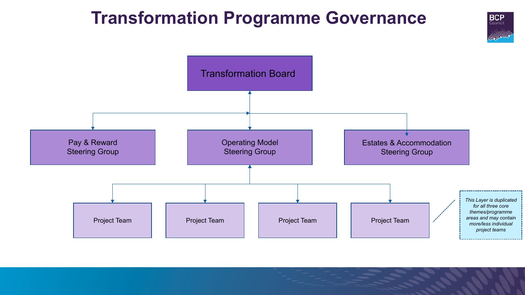### **Transformation Programme Governance**

**BCP** Council

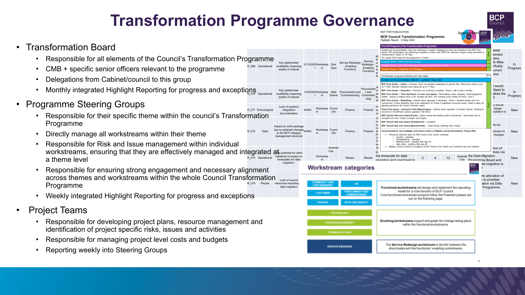### **Transformation Programme Governance**

R\_069 Operational

R\_072

Impact on work due to potenti to the  $BCP$ 

**BCP Council Transformation Programme** 



### • Transformation Board

- Responsible for all elements of the Council's Transformation Programme
- CMB + specific senior officers relevant to the programme
- Delegations from Cabinet/council to this group
- $\,$  Monthly integrated Highlight Reporting for progress and exceptions  $\,$   $_{\tiny\rm{perational}}$
- Programme Steering Groups
	- R\_071 Technological • Responsible for their specific theme within the council's Transformation Programme
	- Directly manage all workstreams within their theme
	- R 073 Operational workstreams, ensuring that they are effectively managed and integrated at epotential for other initiatives to in timescales f • Responsible for Risk and Issue management within individual a theme level
	- R\_074 People  $Lack of  $c$$ resources impacting data migration • Responsible for ensuring strong engagement and necessary alignment across themes and workstreams within the whole Council Transformation Programme
	- Weekly integrated Highlight Reporting for progress and exceptions
- Project Teams
	- Responsible for developing project plans, resource management and identification of project specific risks, issues and activities
	- Responsible for managing project level costs and budgets
	- Reporting weekly into Steering Groups

|                                                                                                                   |                                                                                                                     |                                                                                                                              |               |                                             |                                                |                                               | LERESE LARGE IA MEL SIVES                                                                                                                                                                                                                                                                                                                                                                                                                                                                                                                                                                                                                                                                                                                                 | <b><i><u>College College</u></i></b>                               |                                                                            |                 |
|-------------------------------------------------------------------------------------------------------------------|---------------------------------------------------------------------------------------------------------------------|------------------------------------------------------------------------------------------------------------------------------|---------------|---------------------------------------------|------------------------------------------------|-----------------------------------------------|-----------------------------------------------------------------------------------------------------------------------------------------------------------------------------------------------------------------------------------------------------------------------------------------------------------------------------------------------------------------------------------------------------------------------------------------------------------------------------------------------------------------------------------------------------------------------------------------------------------------------------------------------------------------------------------------------------------------------------------------------------------|--------------------------------------------------------------------|----------------------------------------------------------------------------|-----------------|
|                                                                                                                   |                                                                                                                     |                                                                                                                              |               |                                             |                                                |                                               | Overall Progress of the Transformation Programme                                                                                                                                                                                                                                                                                                                                                                                                                                                                                                                                                                                                                                                                                                          |                                                                    |                                                                            |                 |
| Key stakeholder<br>availability impacting<br>quality of outputs                                                   |                                                                                                                     | 21/10/202Workstrea<br>$\mathbf{1}$<br>m                                                                                      | Dan<br>Saul   | Service Redesign<br>- Enabling<br>Functions | Service<br>Redesign -<br>Enabling<br>Functions | Mi<br>Sι<br>ur<br>W<br>qu<br>ar<br>Sι         | Estates and Accommodation team are continuing to support colleagues as they are transition to the BCP Chic<br>Centre. SIP workstreams are continuing to progress at pace, with DWPP for business Support being presented to<br>Transformation Board on 10th May.<br>The overall RAG status for the programme is 'Green'.<br>- Where and how we werk<br>Workstream progress achieved and next steps<br>Estates and Accommodation (MRUP) - updated 5 May 2022                                                                                                                                                                                                                                                                                               | <b>LAG</b>                                                         | detail<br><b>isiness</b><br>ders.<br>th Mike<br>cifically<br>urrent<br>due | ln.<br>Progress |
| Key stakeholder<br>availability impacting<br>quality of outputs                                                   |                                                                                                                     | 11/05/202Workstrea<br>m                                                                                                      | Matt<br>Deane | Procurement and<br>Commissioning Commissio  | Procuremen <sup>'</sup><br>tand<br>ning        | Je<br>'ur<br>wł<br>th <sub>'</sub><br>sp      | BCP Civic Centre - Annex - Coronors Court successfully established on ground floor. Resources service zane<br>on 1 <sup>et</sup> floor. Member meeting room being set up on 1 <sup>et</sup> floor.<br>BCP Civic Centre - Extension - Transition into Extension complete. Tensce calli to open mid May.<br>BCP Civic Centre - Town Hall Soors 1-6 (non civic space) Remodeling works underway. Build programme<br>drafted - hoping to release floors 4 (for storage) and floor 3 for meeting rooms alread of Floors 1 and 2.<br>BCP Chile Centre - West Wing - Cabinet report approved in November. Phase 1 detailed design work has<br>commenced. Further fassibility work to be undertaken for Phase 2 (significant structural works). Need to apply for |                                                                    | t would<br>Need to<br>iakes the<br>$\Omega$                                | In.<br>Progress |
| Lack of systems<br>integration<br>documentation                                                                   | 44450                                                                                                               | Workstrea Funmi<br>m                                                                                                         | Oni           | Finance                                     | Finance sy                                     | Int<br>ca                                     | planning permission for Council Chamber works.<br>Poole Civic Space - Coroners/ Poole Mayoral space - Cabinet report approved in October Cabinet. Waiting for<br>autoome of FuturePlaces options appraisal. ON HOLD<br>BCP Council Hub and Library (Poole) - Library closed and building works commenced - build works due to                                                                                                                                                                                                                                                                                                                                                                                                                             |                                                                    | y should<br>design<br>scalation to                                         | New             |
| mpact on work package<br>lue to potential changes <sub>44450</sub><br>to the BCP category<br>management structure |                                                                                                                     | Workstrea Funmi<br>m                                                                                                         | Oni           | Finance                                     | Finance de                                     | CI<br>cu<br>to<br>m:<br>Pr<br>Cα<br>Th<br>tin | complete and June. Library to reopen and August.<br>BCP Council Hub and Library (Christchurch) - complete<br>BCP Council Hub and Library (Bournemouth) - Initial design meetings have started<br>Communications: key messages and calls to action on Estates and Accommodation Project (RG)<br>. Filming for welcome video for BCP Council Clvic Centre underway.<br>Cycling - camplete<br>Driving/parking - complete<br>Meeting rooms - pending final sign off<br>Main video - pending final sign off                                                                                                                                                                                                                                                    |                                                                    | ith the<br>stream to<br>changes                                            | New             |
| the potential for other<br>initiatives to impact on<br>timescales for data<br>migration.                          |                                                                                                                     | Workstrea<br>m                                                                                                               | Amanda<br>Coe | Mosaic<br>Workstream categories             | Mosaic                                         | TI<br>in                                      | Regular comms continue on progress of BCP Council Civic Centre and Customer Hub and Libraries.<br>the timescale for data<br>Amanda the Data Migration<br>12<br>3<br>$\Delta$<br>migration and could lead to<br>Coe Programme Board and<br>₿Ċ₽                                                                                                                                                                                                                                                                                                                                                                                                                                                                                                             |                                                                    | tion of<br>tives via<br>ata migration is                                   | <b>New</b>      |
| Lack of council<br>resources impacting<br>data migration                                                          |                                                                                                                     | <b>COMMUNITY AND</b><br>HR<br><b>PARTMERSHIPS</b><br><b><i>PROCURMENT AND</i></b><br><b>CUSTOMER</b><br><b>COMMISSIONING</b> |               |                                             |                                                |                                               | Functional workstreams will design and implement the operating<br>model for a core function of BCP Council.<br>Core functional workstream projects follow the Powered phases set                                                                                                                                                                                                                                                                                                                                                                                                                                                                                                                                                                          | he allocation of<br>s to prioritise<br>ation via Data<br>Programme |                                                                            | New             |
|                                                                                                                   | DATA AND INSIGHT<br><b><i>FINANCE</i></b><br><b>TECHNOLOGY</b><br><b>CHANGE MANAGEMENT</b><br><b>COMMUNICATIONS</b> |                                                                                                                              |               |                                             |                                                |                                               | out on the following page.                                                                                                                                                                                                                                                                                                                                                                                                                                                                                                                                                                                                                                                                                                                                |                                                                    |                                                                            |                 |
|                                                                                                                   |                                                                                                                     |                                                                                                                              |               |                                             |                                                |                                               | Enabling workstreams support and guide the change taking place<br>within the functional workstreams.                                                                                                                                                                                                                                                                                                                                                                                                                                                                                                                                                                                                                                                      |                                                                    |                                                                            |                 |
|                                                                                                                   |                                                                                                                     |                                                                                                                              |               |                                             |                                                |                                               |                                                                                                                                                                                                                                                                                                                                                                                                                                                                                                                                                                                                                                                                                                                                                           |                                                                    |                                                                            |                 |
|                                                                                                                   | <b>SERVICE REDESIGN</b>                                                                                             |                                                                                                                              |               |                                             |                                                |                                               | The Service Redesign workstream is the link between the<br>directorates and the functional / enabling workstreams.                                                                                                                                                                                                                                                                                                                                                                                                                                                                                                                                                                                                                                        |                                                                    |                                                                            |                 |